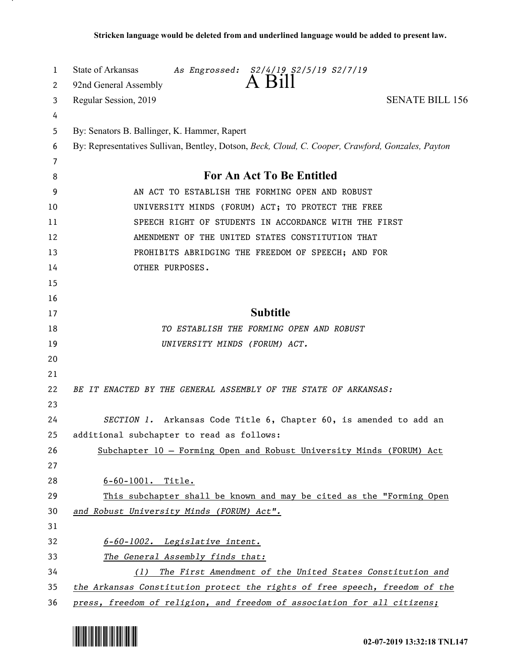| 1<br>2 | State of Arkansas<br>As Engrossed: S2/4/19 S2/5/19 S2/7/19<br>A Bill<br>92nd General Assembly     |
|--------|---------------------------------------------------------------------------------------------------|
| 3      | Regular Session, 2019<br><b>SENATE BILL 156</b>                                                   |
| 4      |                                                                                                   |
| 5      | By: Senators B. Ballinger, K. Hammer, Rapert                                                      |
| 6      | By: Representatives Sullivan, Bentley, Dotson, Beck, Cloud, C. Cooper, Crawford, Gonzales, Payton |
| 7      |                                                                                                   |
| 8      | For An Act To Be Entitled                                                                         |
| 9      | AN ACT TO ESTABLISH THE FORMING OPEN AND ROBUST                                                   |
| 10     | UNIVERSITY MINDS (FORUM) ACT; TO PROTECT THE FREE                                                 |
| 11     | SPEECH RIGHT OF STUDENTS IN ACCORDANCE WITH THE FIRST                                             |
| 12     | AMENDMENT OF THE UNITED STATES CONSTITUTION THAT                                                  |
| 13     | PROHIBITS ABRIDGING THE FREEDOM OF SPEECH; AND FOR                                                |
| 14     | OTHER PURPOSES.                                                                                   |
| 15     |                                                                                                   |
| 16     |                                                                                                   |
| 17     | <b>Subtitle</b>                                                                                   |
| 18     | TO ESTABLISH THE FORMING OPEN AND ROBUST                                                          |
| 19     | UNIVERSITY MINDS (FORUM) ACT.                                                                     |
| 20     |                                                                                                   |
| 21     |                                                                                                   |
| 22     | BE IT ENACTED BY THE GENERAL ASSEMBLY OF THE STATE OF ARKANSAS:                                   |
| 23     |                                                                                                   |
| 24     | SECTION 1. Arkansas Code Title 6, Chapter 60, is amended to add an                                |
| 25     | additional subchapter to read as follows:                                                         |
| 26     | Subchapter 10 - Forming Open and Robust University Minds (FORUM) Act                              |
| 27     |                                                                                                   |
| 28     | 6-60-1001. Title.                                                                                 |
| 29     | This subchapter shall be known and may be cited as the "Forming Open                              |
| 30     | and Robust University Minds (FORUM) Act".                                                         |
| 31     |                                                                                                   |
| 32     | 6-60-1002. Legislative intent.                                                                    |
| 33     | The General Assembly finds that:                                                                  |
| 34     | The First Amendment of the United States Constitution and<br>(1)                                  |
| 35     | the Arkansas Constitution protect the rights of free speech, freedom of the                       |
| 36     | press, freedom of religion, and freedom of association for all citizens;                          |

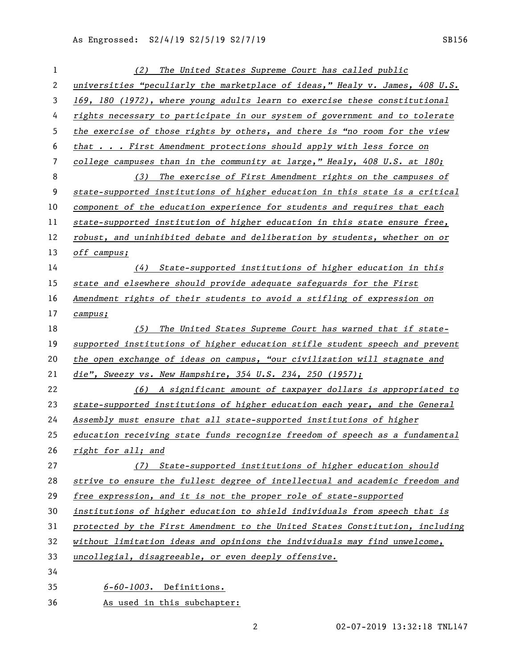| 1              | The United States Supreme Court has called public<br>(2)                      |
|----------------|-------------------------------------------------------------------------------|
| $\overline{2}$ | universities "peculiarly the marketplace of ideas," Healy v. James, 408 U.S.  |
| 3              | 169, 180 (1972), where young adults learn to exercise these constitutional    |
| 4              | rights necessary to participate in our system of government and to tolerate   |
| 5              | the exercise of those rights by others, and there is "no room for the view    |
| 6              | that First Amendment protections should apply with less force on              |
| 7              | college campuses than in the community at large," Healy, $408$ U.S. at 180;   |
| 8              | (3) The exercise of First Amendment rights on the campuses of                 |
| 9              | state-supported institutions of higher education in this state is a critical  |
| 10             | component of the education experience for students and requires that each     |
| 11             | state-supported institution of higher education in this state ensure free,    |
| 12             | robust, and uninhibited debate and deliberation by students, whether on or    |
| 13             | off campus;                                                                   |
| 14             | (4) State-supported institutions of higher education in this                  |
| 15             | state and elsewhere should provide adequate safeguards for the First          |
| 16             | Amendment rights of their students to avoid a stifling of expression on       |
| 17             | campus;                                                                       |
| 18             | The United States Supreme Court has warned that if state-<br>(5)              |
| 19             | supported institutions of higher education stifle student speech and prevent  |
| 20             | the open exchange of ideas on campus, "our civilization will stagnate and     |
| 21             | die", Sweezy vs. New Hampshire, $354$ U.S. $234$ , $250$ (1957);              |
| 22             | (6) A significant amount of taxpayer dollars is appropriated to               |
| 23             | state-supported institutions of higher education each year, and the General   |
| 24             | Assembly must ensure that all state-supported institutions of higher          |
| 25             | education receiving state funds recognize freedom of speech as a fundamental  |
| 26             | right for all; and                                                            |
| 27             | (7) State-supported institutions of higher education should                   |
| 28             | strive to ensure the fullest degree of intellectual and academic freedom and  |
| 29             | free expression, and it is not the proper role of state-supported             |
| 30             | institutions of higher education to shield individuals from speech that is    |
| 31             | protected by the First Amendment to the United States Constitution, including |
| 32             | without limitation ideas and opinions the individuals may find unwelcome,     |
| 33             | uncollegial, disagreeable, or even deeply offensive.                          |
| 34             |                                                                               |
| 35             | $6-60-1003$ . Definitions.                                                    |
| 36             | As used in this subchapter:                                                   |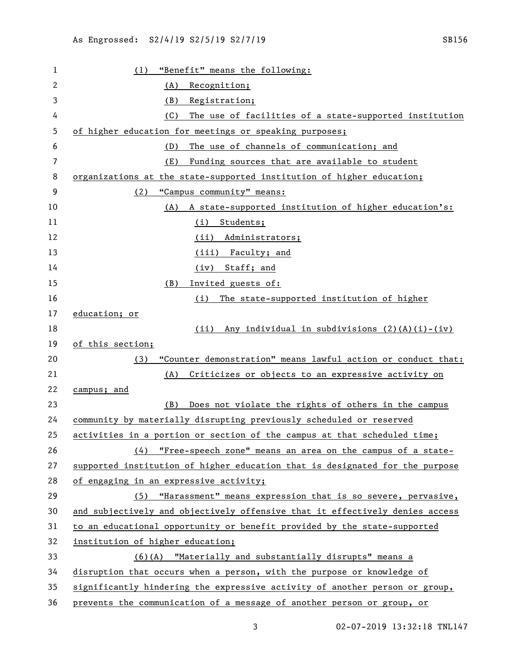| 1  | "Benefit" means the following:<br>(1)                                        |
|----|------------------------------------------------------------------------------|
| 2  | (A)<br>Recognition;                                                          |
| 3  | (B)<br>Registration;                                                         |
| 4  | The use of facilities of a state-supported institution<br>(C)                |
| 5  | of higher education for meetings or speaking purposes;                       |
| 6  | The use of channels of communication; and<br>(D)                             |
| 7  | Funding sources that are available to student<br>(E)                         |
| 8  | organizations at the state-supported institution of higher education;        |
| 9  | "Campus community" means:<br>(2)                                             |
| 10 | (A)<br>A state-supported institution of higher education's:                  |
| 11 | (i) Students;                                                                |
| 12 | Administrators;<br>(ii)                                                      |
| 13 | (iii) Faculty; and                                                           |
| 14 | (iv) Staff; and                                                              |
| 15 | Invited guests of:<br>(B)                                                    |
| 16 | The state-supported institution of higher<br>(i)                             |
| 17 | education; or                                                                |
| 18 | Any individual in subdivisions (2)(A)(i)-(iv)<br>(ii)                        |
| 19 | of this section;                                                             |
| 20 | "Counter demonstration" means lawful action or conduct that:<br>(3)          |
| 21 | Criticizes or objects to an expressive activity on<br>(A)                    |
| 22 | campus; and                                                                  |
| 23 | Does not violate the rights of others in the campus<br>(B)                   |
| 24 | community by materially disrupting previously scheduled or reserved          |
| 25 | activities in a portion or section of the campus at that scheduled time;     |
| 26 | (4) "Free-speech zone" means an area on the campus of a state-               |
| 27 | supported institution of higher education that is designated for the purpose |
| 28 | of engaging in an expressive activity;                                       |
| 29 | "Harassment" means expression that is so severe, pervasive,<br>(5)           |
| 30 | and subjectively and objectively offensive that it effectively denies access |
| 31 | to an educational opportunity or benefit provided by the state-supported     |
| 32 | institution of higher education;                                             |
| 33 | (6)(A) "Materially and substantially disrupts" means a                       |
| 34 | disruption that occurs when a person, with the purpose or knowledge of       |
| 35 | significantly hindering the expressive activity of another person or group,  |
| 36 | prevents the communication of a message of another person or group, or       |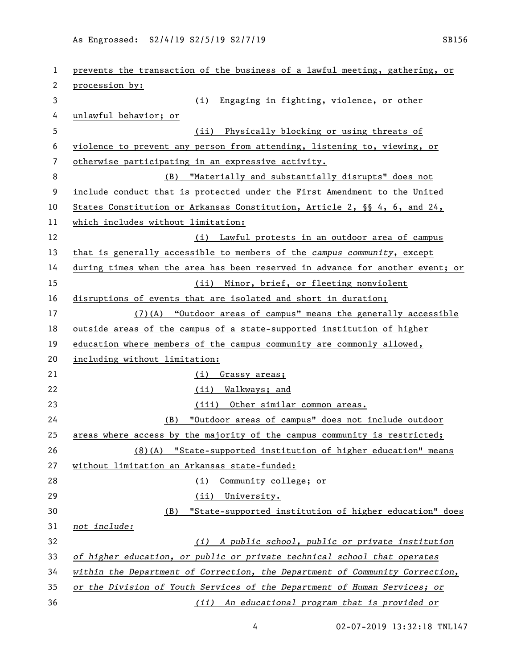| 1  | prevents the transaction of the business of a lawful meeting, gathering, or   |
|----|-------------------------------------------------------------------------------|
| 2  | procession by:                                                                |
| 3  | Engaging in fighting, violence, or other<br>(i)                               |
| 4  | unlawful behavior; or                                                         |
| 5  | Physically blocking or using threats of<br>(ii)                               |
| 6  | violence to prevent any person from attending, listening to, viewing, or      |
| 7  | otherwise participating in an expressive activity.                            |
| 8  | "Materially and substantially disrupts" does not<br>(B)                       |
| 9  | include conduct that is protected under the First Amendment to the United     |
| 10 | States Constitution or Arkansas Constitution, Article 2, §§ 4, 6, and 24,     |
| 11 | which includes without limitation:                                            |
| 12 | (i) Lawful protests in an outdoor area of campus                              |
| 13 | that is generally accessible to members of the campus community, except       |
| 14 | during times when the area has been reserved in advance for another event; or |
| 15 | (ii) Minor, brief, or fleeting nonviolent                                     |
| 16 | disruptions of events that are isolated and short in duration;                |
| 17 | $(7)$ (A) "Outdoor areas of campus" means the generally accessible            |
| 18 | <u>outside</u> areas of the campus of a state-supported institution of higher |
| 19 | education where members of the campus community are commonly allowed,         |
| 20 | including without limitation:                                                 |
| 21 | Grassy areas;<br>(i)                                                          |
| 22 | (ii) Walkways; and                                                            |
| 23 | (iii) Other similar common areas.                                             |
| 24 | "Outdoor areas of campus" does not include outdoor<br>(B)                     |
| 25 | areas where access by the majority of the campus community is restricted;     |
| 26 | "State-supported institution of higher education" means<br>(8)(A)             |
| 27 | without limitation an Arkansas state-funded:                                  |
| 28 | Community college; or<br>(i)                                                  |
| 29 | (ii)<br>University.                                                           |
| 30 | "State-supported institution of higher education" does<br>(B)                 |
| 31 | not include:                                                                  |
| 32 | (i) A public school, public or private institution                            |
| 33 | of higher education, or public or private technical school that operates      |
| 34 | within the Department of Correction, the Department of Community Correction,  |
| 35 | or the Division of Youth Services of the Department of Human Services; or     |
| 36 | An educational program that is provided or<br>(iii)                           |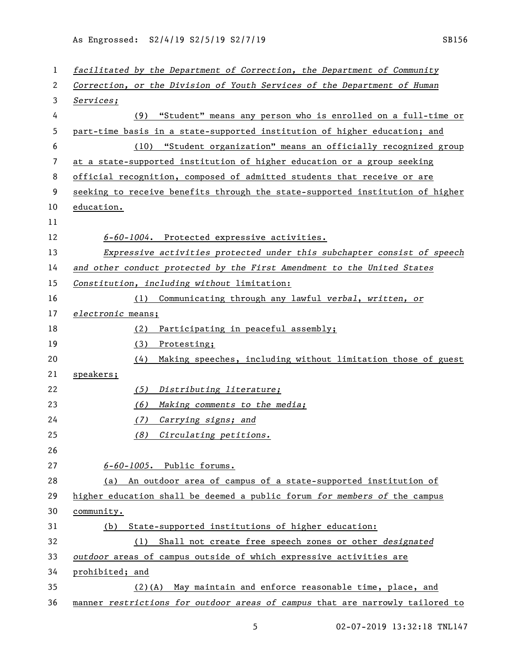| 1  | facilitated by the Department of Correction, the Department of Community      |
|----|-------------------------------------------------------------------------------|
| 2  | Correction, or the Division of Youth Services of the Department of Human      |
| 3  | Services;                                                                     |
| 4  | (9) "Student" means any person who is enrolled on a full-time or              |
| 5  | part-time basis in a state-supported institution of higher education; and     |
| 6  | "Student organization" means an officially recognized group<br>(10)           |
| 7  | at a state-supported institution of higher education or a group seeking       |
| 8  | official recognition, composed of admitted students that receive or are       |
| 9  | seeking to receive benefits through the state-supported institution of higher |
| 10 | education.                                                                    |
| 11 |                                                                               |
| 12 | 6-60-1004. Protected expressive activities.                                   |
| 13 | Expressive activities protected under this subchapter consist of speech       |
| 14 | and other conduct protected by the First Amendment to the United States       |
| 15 | Constitution, including without limitation:                                   |
| 16 | (1) Communicating through any lawful verbal, written, or                      |
| 17 | electronic means;                                                             |
| 18 | Participating in peaceful assembly;<br>(2)                                    |
| 19 | (3)<br>Protesting;                                                            |
| 20 | Making speeches, including without limitation those of guest<br>(4)           |
| 21 | speakers;                                                                     |
| 22 | (5)<br>Distributing literature;                                               |
| 23 | (6)<br>Making comments to the media;                                          |
| 24 | (7)<br>Carrying signs; and                                                    |
| 25 | (8)<br>Circulating petitions.                                                 |
| 26 |                                                                               |
| 27 | 6-60-1005. Public forums.                                                     |
| 28 | An outdoor area of campus of a state-supported institution of<br>(a)          |
| 29 | higher education shall be deemed a public forum for members of the campus     |
| 30 | community.                                                                    |
| 31 | (b) State-supported institutions of higher education:                         |
| 32 | Shall not create free speech zones or other <i>designated</i><br>(1)          |
| 33 | outdoor areas of campus outside of which expressive activities are            |
| 34 | prohibited; and                                                               |
| 35 | $(2)(A)$ May maintain and enforce reasonable time, place, and                 |
| 36 | manner restrictions for outdoor areas of campus that are narrowly tailored to |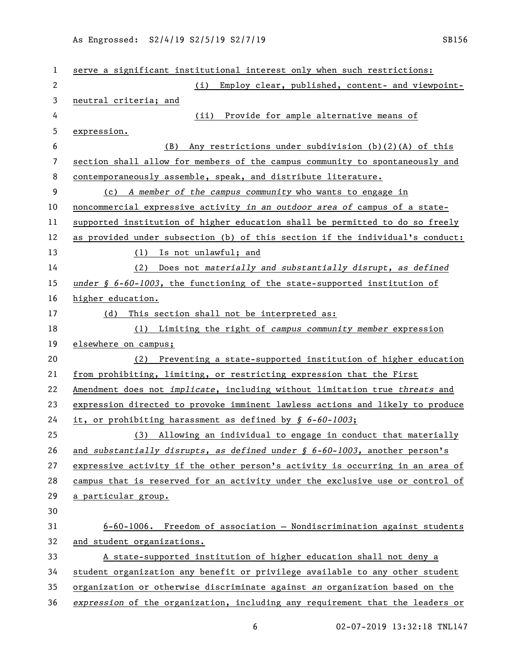| 1  | serve a significant institutional interest only when such restrictions:                |
|----|----------------------------------------------------------------------------------------|
| 2  | (i)<br>Employ clear, published, content- and viewpoint-                                |
| 3  | neutral criteria; and                                                                  |
| 4  | (ii) Provide for ample alternative means of                                            |
| 5  | expression.                                                                            |
| 6  | (B)<br>Any restrictions under subdivision $(b)(2)(A)$ of this                          |
| 7  | section shall allow for members of the campus community to spontaneously and           |
| 8  | contemporaneously assemble, speak, and distribute literature.                          |
| 9  | (c) A member of the campus community who wants to engage in                            |
| 10 | noncommercial expressive activity in an outdoor area of campus of a state-             |
| 11 | supported institution of higher education shall be permitted to do so freely           |
| 12 | as provided under subsection (b) of this section if the individual's conduct:          |
| 13 | (1) Is not unlawful; and                                                               |
| 14 | Does not materially and substantially disrupt, as defined<br>(2)                       |
| 15 | under $\oint$ 6-60-1003, the functioning of the state-supported institution of         |
| 16 | higher education.                                                                      |
| 17 | This section shall not be interpreted as:<br>(d)                                       |
| 18 | (1) Limiting the right of campus community member expression                           |
| 19 | elsewhere on campus;                                                                   |
| 20 | Preventing a state-supported institution of higher education<br>(2)                    |
| 21 | from prohibiting, limiting, or restricting expression that the First                   |
| 22 | Amendment does not implicate, including without limitation true threats and            |
| 23 | expression directed to provoke imminent lawless actions and likely to produce          |
| 24 | it, or prohibiting harassment as defined by § 6-60-1003;                               |
| 25 | Allowing an individual to engage in conduct that materially<br>(3)                     |
| 26 | and substantially disrupts, as defined under $\frac{1}{2}$ 6-60-1003, another person's |
| 27 | expressive activity if the other person's activity is occurring in an area of          |
| 28 | campus that is reserved for an activity under the exclusive use or control of          |
|    |                                                                                        |
| 29 | a particular group.                                                                    |
| 30 |                                                                                        |
| 31 | $6-60-1006$ . Freedom of association - Nondiscrimination against students              |
| 32 | and student organizations.                                                             |
| 33 | A state-supported institution of higher education shall not deny a                     |
| 34 | student organization any benefit or privilege available to any other student           |
| 35 | organization or otherwise discriminate against an organization based on the            |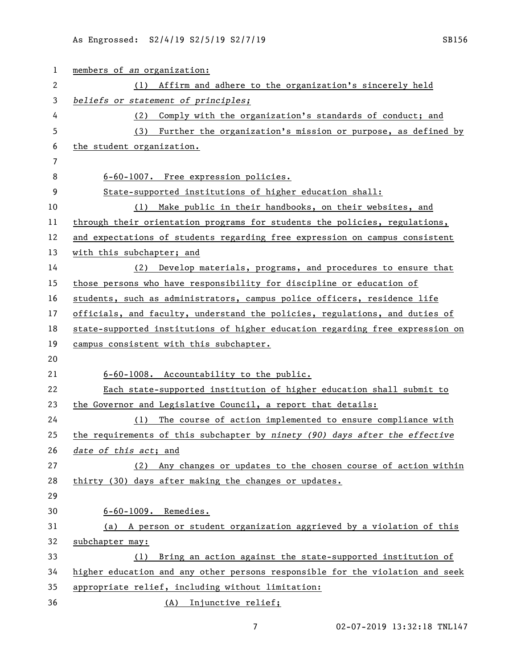| $\mathbf{1}$   | members of an organization:                                                   |
|----------------|-------------------------------------------------------------------------------|
| $\overline{c}$ | (1) Affirm and adhere to the organization's sincerely held                    |
| 3              | beliefs or statement of principles;                                           |
| 4              | Comply with the organization's standards of conduct; and<br>(2)               |
| 5              | Further the organization's mission or purpose, as defined by<br>(3)           |
| 6              | the student organization.                                                     |
| 7              |                                                                               |
| 8              | 6-60-1007. Free expression policies.                                          |
| 9              | State-supported institutions of higher education shall:                       |
| 10             | Make public in their handbooks, on their websites, and<br>(1)                 |
| 11             | through their orientation programs for students the policies, regulations,    |
| 12             | and expectations of students regarding free expression on campus consistent   |
| 13             | with this subchapter; and                                                     |
| 14             | Develop materials, programs, and procedures to ensure that<br>(2)             |
| 15             | those persons who have responsibility for discipline or education of          |
| 16             | students, such as administrators, campus police officers, residence life      |
| 17             | officials, and faculty, understand the policies, regulations, and duties of   |
| 18             | state-supported institutions of higher education regarding free expression on |
| 19             | campus consistent with this subchapter.                                       |
| 20             |                                                                               |
| 21             | 6-60-1008. Accountability to the public.                                      |
| 22             | Each state-supported institution of higher education shall submit to          |
| 23             | the Governor and Legislative Council, a report that details:                  |
| 24             | The course of action implemented to ensure compliance with<br>(1)             |
| 25             | the requirements of this subchapter by ninety (90) days after the effective   |
| 26             | date of this act; and                                                         |
| 27             | Any changes or updates to the chosen course of action within<br>(2)           |
| 28             | thirty (30) days after making the changes or updates.                         |
| 29             |                                                                               |
| 30             | $6 - 60 - 1009$ . Remedies.                                                   |
| 31             | (a) A person or student organization aggrieved by a violation of this         |
| 32             | subchapter may:                                                               |
| 33             | Bring an action against the state-supported institution of<br>(1)             |
| 34             | higher education and any other persons responsible for the violation and seek |
| 35             | appropriate relief, including without limitation:                             |
| 36             | (A) Injunctive relief;                                                        |